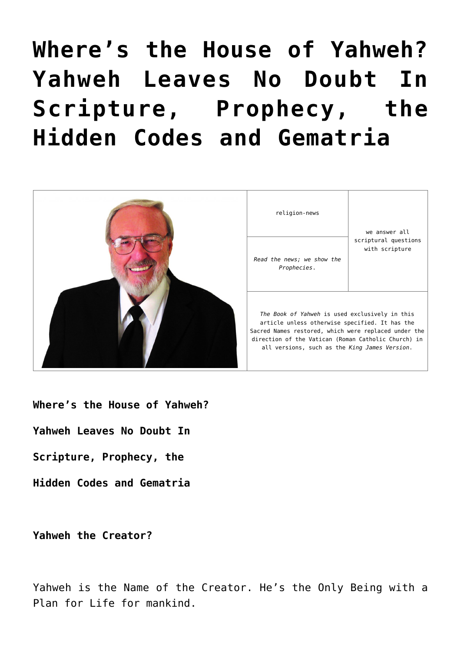# **[Where's the House of Yahweh?](https://yahwehsbranch.com/wheres-the-house-of-yahweh-yahweh-leaves-no-doubt-in-scripture-prophecy-the-hidden-codes-and-gematria/) [Yahweh Leaves No Doubt In](https://yahwehsbranch.com/wheres-the-house-of-yahweh-yahweh-leaves-no-doubt-in-scripture-prophecy-the-hidden-codes-and-gematria/) [Scripture, Prophecy, the](https://yahwehsbranch.com/wheres-the-house-of-yahweh-yahweh-leaves-no-doubt-in-scripture-prophecy-the-hidden-codes-and-gematria/) [Hidden Codes and Gematria](https://yahwehsbranch.com/wheres-the-house-of-yahweh-yahweh-leaves-no-doubt-in-scripture-prophecy-the-hidden-codes-and-gematria/)**



**Where's the House of Yahweh?**

**Yahweh Leaves No Doubt In**

- **Scripture, Prophecy, the**
- **Hidden Codes and Gematria**

**Yahweh the Creator?**

Yahweh is the Name of the Creator. He's the Only Being with a Plan for Life for mankind.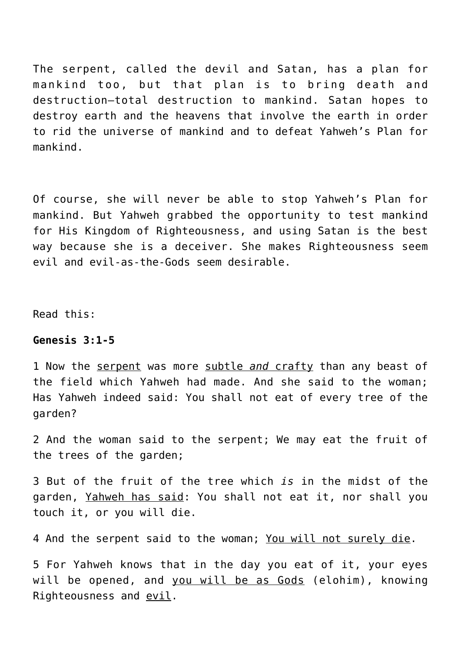The serpent, called the devil and Satan, has a plan for mankind too, but that plan is to bring death and destruction—total destruction to mankind. Satan hopes to destroy earth and the heavens that involve the earth in order to rid the universe of mankind and to defeat Yahweh's Plan for mankind.

Of course, she will never be able to stop Yahweh's Plan for mankind. But Yahweh grabbed the opportunity to test mankind for His Kingdom of Righteousness, and using Satan is the best way because she is a deceiver. She makes Righteousness seem evil and evil-as-the-Gods seem desirable.

Read this:

# **Genesis 3:1-5**

1 Now the serpent was more subtle *and* crafty than any beast of the field which Yahweh had made. And she said to the woman; Has Yahweh indeed said: You shall not eat of every tree of the garden?

2 And the woman said to the serpent; We may eat the fruit of the trees of the garden;

3 But of the fruit of the tree which *is* in the midst of the garden, Yahweh has said: You shall not eat it, nor shall you touch it, or you will die.

4 And the serpent said to the woman; You will not surely die.

5 For Yahweh knows that in the day you eat of it, your eyes will be opened, and you will be as Gods (elohim), knowing Righteousness and evil.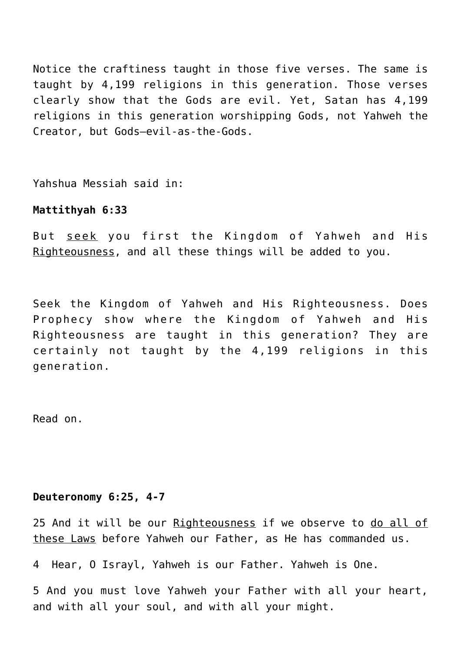Notice the craftiness taught in those five verses. The same is taught by 4,199 religions in this generation. Those verses clearly show that the Gods are evil. Yet, Satan has 4,199 religions in this generation worshipping Gods, not Yahweh the Creator, but Gods—evil-as-the-Gods.

Yahshua Messiah said in:

# **Mattithyah 6:33**

But seek you first the Kingdom of Yahweh and His Righteousness, and all these things will be added to you.

Seek the Kingdom of Yahweh and His Righteousness. Does Prophecy show where the Kingdom of Yahweh and His Righteousness are taught in this generation? They are certainly not taught by the 4,199 religions in this generation.

Read on.

# **Deuteronomy 6:25, 4-7**

25 And it will be our Righteousness if we observe to do all of these Laws before Yahweh our Father, as He has commanded us.

4 Hear, O Israyl, Yahweh is our Father. Yahweh is One.

5 And you must love Yahweh your Father with all your heart, and with all your soul, and with all your might.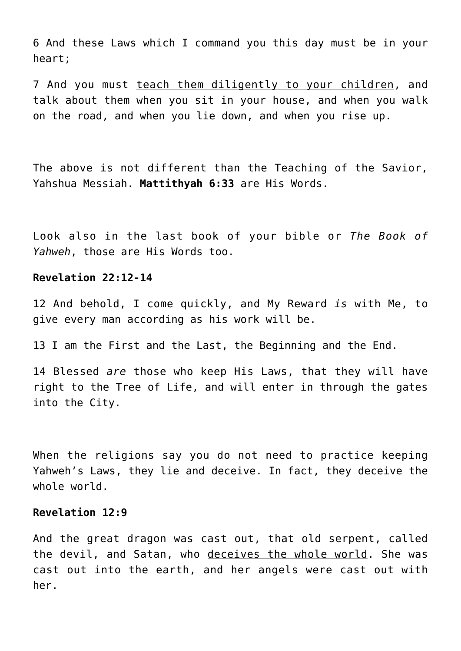6 And these Laws which I command you this day must be in your heart;

7 And you must teach them diligently to your children, and talk about them when you sit in your house, and when you walk on the road, and when you lie down, and when you rise up.

The above is not different than the Teaching of the Savior, Yahshua Messiah. **Mattithyah 6:33** are His Words.

Look also in the last book of your bible or *The Book of Yahweh*, those are His Words too.

# **Revelation 22:12-14**

12 And behold, I come quickly, and My Reward *is* with Me, to give every man according as his work will be.

13 I am the First and the Last, the Beginning and the End.

14 Blessed *are* those who keep His Laws, that they will have right to the Tree of Life, and will enter in through the gates into the City.

When the religions say you do not need to practice keeping Yahweh's Laws, they lie and deceive. In fact, they deceive the whole world.

# **Revelation 12:9**

And the great dragon was cast out, that old serpent, called the devil, and Satan, who deceives the whole world. She was cast out into the earth, and her angels were cast out with her.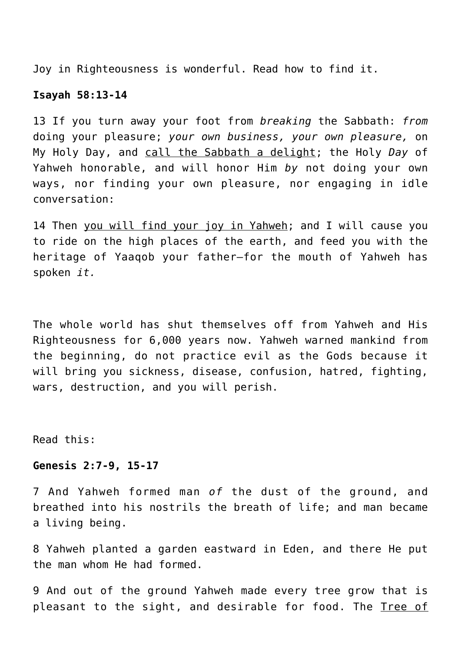Joy in Righteousness is wonderful. Read how to find it.

# **Isayah 58:13-14**

13 If you turn away your foot from *breaking* the Sabbath: *from* doing your pleasure; *your own business, your own pleasure,* on My Holy Day, and call the Sabbath a delight; the Holy *Day* of Yahweh honorable, and will honor Him *by* not doing your own ways, nor finding your own pleasure, nor engaging in idle conversation:

14 Then you will find your joy in Yahweh; and I will cause you to ride on the high places of the earth, and feed you with the heritage of Yaaqob your father—for the mouth of Yahweh has spoken *it.*

The whole world has shut themselves off from Yahweh and His Righteousness for 6,000 years now. Yahweh warned mankind from the beginning, do not practice evil as the Gods because it will bring you sickness, disease, confusion, hatred, fighting, wars, destruction, and you will perish.

Read this:

# **Genesis 2:7-9, 15-17**

7 And Yahweh formed man *of* the dust of the ground, and breathed into his nostrils the breath of life; and man became a living being.

8 Yahweh planted a garden eastward in Eden, and there He put the man whom He had formed.

9 And out of the ground Yahweh made every tree grow that is pleasant to the sight, and desirable for food. The Tree of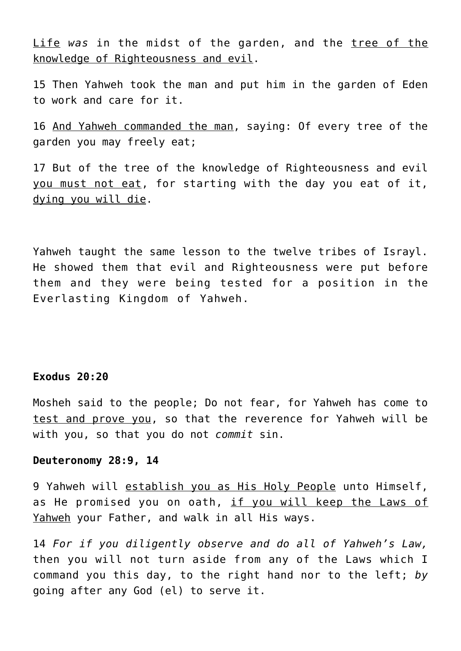Life *was* in the midst of the garden, and the tree of the knowledge of Righteousness and evil.

15 Then Yahweh took the man and put him in the garden of Eden to work and care for it.

16 And Yahweh commanded the man, saying: Of every tree of the garden you may freely eat;

17 But of the tree of the knowledge of Righteousness and evil you must not eat, for starting with the day you eat of it, dying you will die.

Yahweh taught the same lesson to the twelve tribes of Israyl. He showed them that evil and Righteousness were put before them and they were being tested for a position in the Everlasting Kingdom of Yahweh.

# **Exodus 20:20**

Mosheh said to the people; Do not fear, for Yahweh has come to test and prove you, so that the reverence for Yahweh will be with you, so that you do not *commit* sin.

# **Deuteronomy 28:9, 14**

9 Yahweh will establish you as His Holy People unto Himself, as He promised you on oath, if you will keep the Laws of Yahweh your Father, and walk in all His ways.

14 *For if you diligently observe and do all of Yahweh's Law,* then you will not turn aside from any of the Laws which I command you this day, to the right hand nor to the left; *by* going after any God (el) to serve it.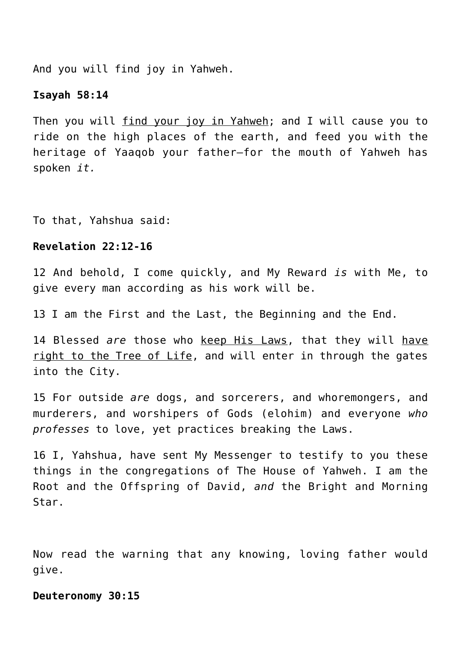And you will find joy in Yahweh.

#### **Isayah 58:14**

Then you will find your joy in Yahweh; and I will cause you to ride on the high places of the earth, and feed you with the heritage of Yaaqob your father—for the mouth of Yahweh has spoken *it.*

To that, Yahshua said:

## **Revelation 22:12-16**

12 And behold, I come quickly, and My Reward *is* with Me, to give every man according as his work will be.

13 I am the First and the Last, the Beginning and the End.

14 Blessed *are* those who keep His Laws, that they will have right to the Tree of Life, and will enter in through the gates into the City.

15 For outside *are* dogs, and sorcerers, and whoremongers, and murderers, and worshipers of Gods (elohim) and everyone *who professes* to love, yet practices breaking the Laws.

16 I, Yahshua, have sent My Messenger to testify to you these things in the congregations of The House of Yahweh. I am the Root and the Offspring of David, *and* the Bright and Morning Star.

Now read the warning that any knowing, loving father would give.

# **Deuteronomy 30:15**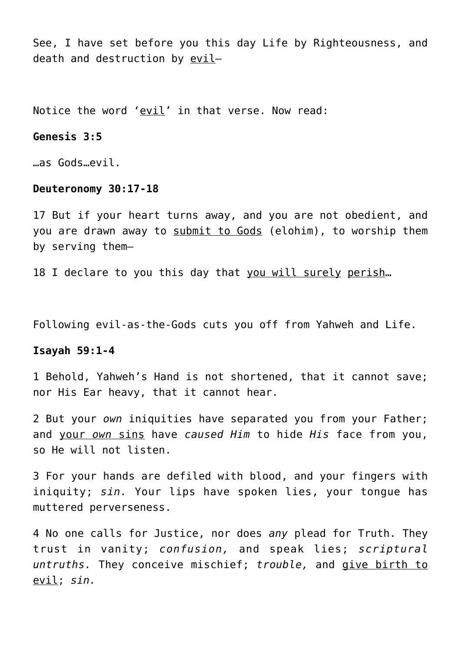See, I have set before you this day Life by Righteousness, and death and destruction by evil—

Notice the word 'evil' in that verse. Now read:

# **Genesis 3:5**

…as Gods…evil.

#### **Deuteronomy 30:17-18**

17 But if your heart turns away, and you are not obedient, and you are drawn away to submit to Gods (elohim), to worship them by serving them—

18 I declare to you this day that you will surely perish…

Following evil-as-the-Gods cuts you off from Yahweh and Life.

#### **Isayah 59:1-4**

1 Behold, Yahweh's Hand is not shortened, that it cannot save; nor His Ear heavy, that it cannot hear.

2 But your *own* iniquities have separated you from your Father; and your *own* sins have *caused Him* to hide *His* face from you, so He will not listen.

3 For your hands are defiled with blood, and your fingers with iniquity; *sin.* Your lips have spoken lies, your tongue has muttered perverseness.

4 No one calls for Justice, nor does *any* plead for Truth. They trust in vanity; *confusion,* and speak lies; *scriptural untruths.* They conceive mischief; *trouble,* and give birth to evil; *sin.*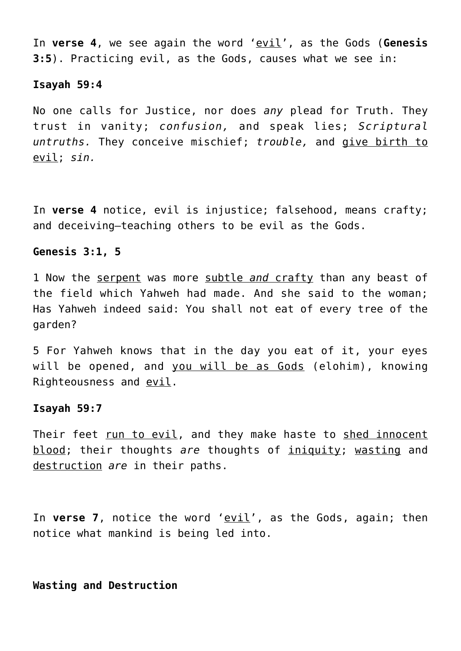In **verse 4**, we see again the word 'evil', as the Gods (**Genesis 3:5**). Practicing evil, as the Gods, causes what we see in:

#### **Isayah 59:4**

No one calls for Justice, nor does *any* plead for Truth. They trust in vanity; *confusion,* and speak lies; *Scriptural untruths.* They conceive mischief; *trouble,* and give birth to evil; *sin.*

In **verse 4** notice, evil is injustice; falsehood, means crafty; and deceiving—teaching others to be evil as the Gods.

# **Genesis 3:1, 5**

1 Now the serpent was more subtle *and* crafty than any beast of the field which Yahweh had made. And she said to the woman; Has Yahweh indeed said: You shall not eat of every tree of the garden?

5 For Yahweh knows that in the day you eat of it, your eyes will be opened, and you will be as Gods (elohim), knowing Righteousness and evil.

#### **Isayah 59:7**

Their feet run to evil, and they make haste to shed innocent blood; their thoughts *are* thoughts of iniquity; wasting and destruction *are* in their paths.

In **verse 7**, notice the word 'evil', as the Gods, again; then notice what mankind is being led into.

# **Wasting and Destruction**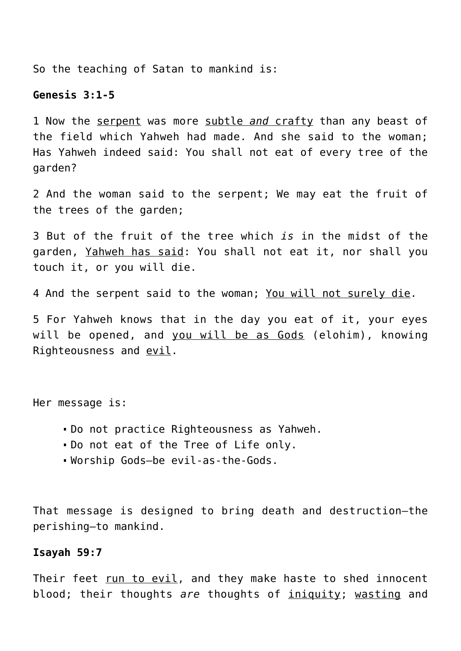So the teaching of Satan to mankind is:

#### **Genesis 3:1-5**

1 Now the serpent was more subtle *and* crafty than any beast of the field which Yahweh had made. And she said to the woman; Has Yahweh indeed said: You shall not eat of every tree of the garden?

2 And the woman said to the serpent; We may eat the fruit of the trees of the garden;

3 But of the fruit of the tree which *is* in the midst of the garden, Yahweh has said: You shall not eat it, nor shall you touch it, or you will die.

4 And the serpent said to the woman; You will not surely die.

5 For Yahweh knows that in the day you eat of it, your eyes will be opened, and you will be as Gods (elohim), knowing Righteousness and evil.

```
Her message is:
```
- Do not practice Righteousness as Yahweh.
- Do not eat of the Tree of Life only.
- Worship Gods—be evil-as-the-Gods.

That message is designed to bring death and destruction—the perishing—to mankind.

#### **Isayah 59:7**

Their feet run to evil, and they make haste to shed innocent blood; their thoughts *are* thoughts of iniquity; wasting and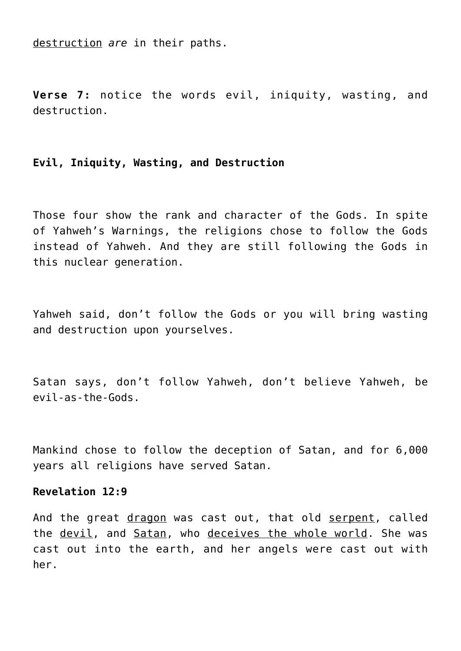destruction *are* in their paths.

**Verse 7:** notice the words evil, iniquity, wasting, and destruction.

# **Evil, Iniquity, Wasting, and Destruction**

Those four show the rank and character of the Gods. In spite of Yahweh's Warnings, the religions chose to follow the Gods instead of Yahweh. And they are still following the Gods in this nuclear generation.

Yahweh said, don't follow the Gods or you will bring wasting and destruction upon yourselves.

Satan says, don't follow Yahweh, don't believe Yahweh, be evil-as-the-Gods.

Mankind chose to follow the deception of Satan, and for 6,000 years all religions have served Satan.

# **Revelation 12:9**

And the great dragon was cast out, that old serpent, called the devil, and Satan, who deceives the whole world. She was cast out into the earth, and her angels were cast out with her.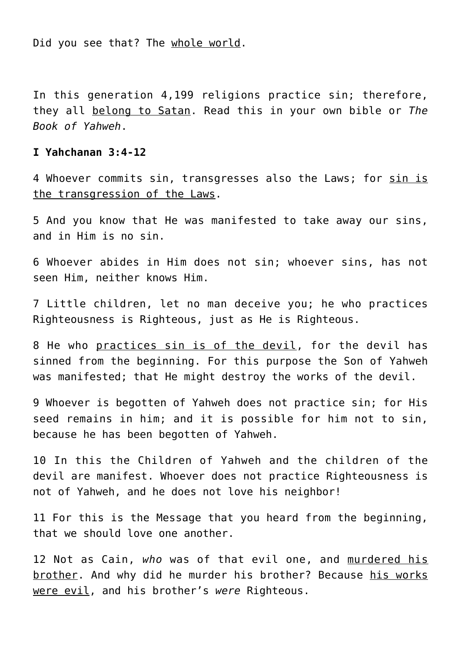Did you see that? The whole world.

In this generation 4,199 religions practice sin; therefore, they all belong to Satan. Read this in your own bible or *The Book of Yahweh*.

# **I Yahchanan 3:4-12**

4 Whoever commits sin, transgresses also the Laws; for sin is the transgression of the Laws.

5 And you know that He was manifested to take away our sins, and in Him is no sin.

6 Whoever abides in Him does not sin; whoever sins, has not seen Him, neither knows Him.

7 Little children, let no man deceive you; he who practices Righteousness is Righteous, just as He is Righteous.

8 He who practices sin is of the devil, for the devil has sinned from the beginning. For this purpose the Son of Yahweh was manifested; that He might destroy the works of the devil.

9 Whoever is begotten of Yahweh does not practice sin; for His seed remains in him; and it is possible for him not to sin, because he has been begotten of Yahweh.

10 In this the Children of Yahweh and the children of the devil are manifest. Whoever does not practice Righteousness is not of Yahweh, and he does not love his neighbor!

11 For this is the Message that you heard from the beginning, that we should love one another.

12 Not as Cain, *who* was of that evil one, and murdered his brother. And why did he murder his brother? Because his works were evil, and his brother's *were* Righteous.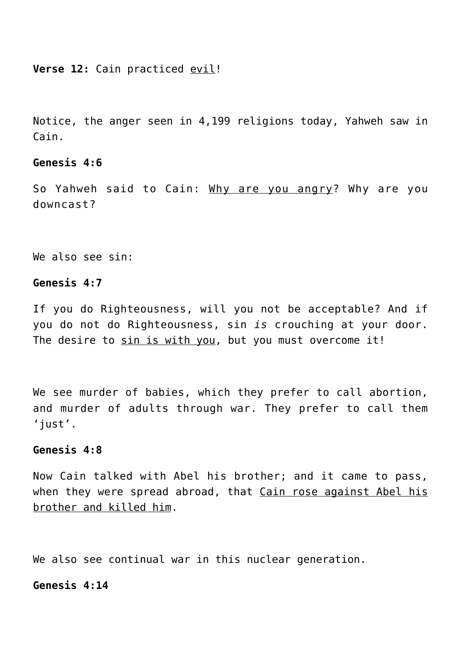**Verse 12:** Cain practiced evil!

Notice, the anger seen in 4,199 religions today, Yahweh saw in Cain.

# **Genesis 4:6**

So Yahweh said to Cain: Why are you angry? Why are you downcast?

We also see sin:

# **Genesis 4:7**

If you do Righteousness, will you not be acceptable? And if you do not do Righteousness, sin *is* crouching at your door. The desire to sin is with you, but you must overcome it!

We see murder of babies, which they prefer to call abortion, and murder of adults through war. They prefer to call them 'just'.

# **Genesis 4:8**

Now Cain talked with Abel his brother; and it came to pass, when they were spread abroad, that Cain rose against Abel his brother and killed him.

We also see continual war in this nuclear generation.

#### **Genesis 4:14**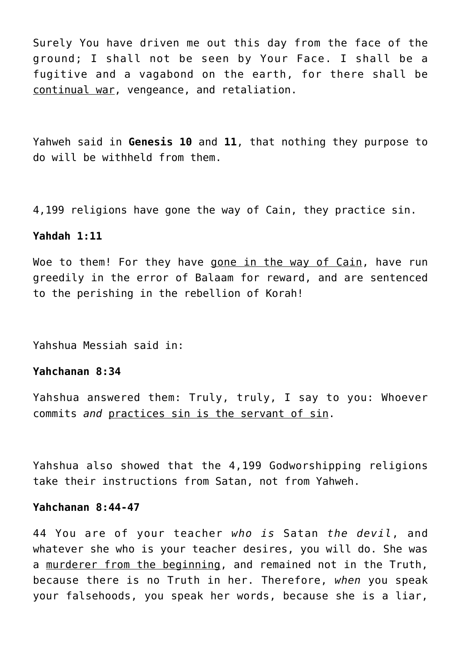Surely You have driven me out this day from the face of the ground; I shall not be seen by Your Face. I shall be a fugitive and a vagabond on the earth, for there shall be continual war, vengeance, and retaliation.

Yahweh said in **Genesis 10** and **11**, that nothing they purpose to do will be withheld from them.

4,199 religions have gone the way of Cain, they practice sin.

#### **Yahdah 1:11**

Woe to them! For they have gone in the way of Cain, have run greedily in the error of Balaam for reward, and are sentenced to the perishing in the rebellion of Korah!

Yahshua Messiah said in:

# **Yahchanan 8:34**

Yahshua answered them: Truly, truly, I say to you: Whoever commits *and* practices sin is the servant of sin.

Yahshua also showed that the 4,199 Godworshipping religions take their instructions from Satan, not from Yahweh.

# **Yahchanan 8:44-47**

44 You are of your teacher *who is* Satan *the devil*, and whatever she who is your teacher desires, you will do. She was a murderer from the beginning, and remained not in the Truth, because there is no Truth in her. Therefore, *when* you speak your falsehoods, you speak her words, because she is a liar,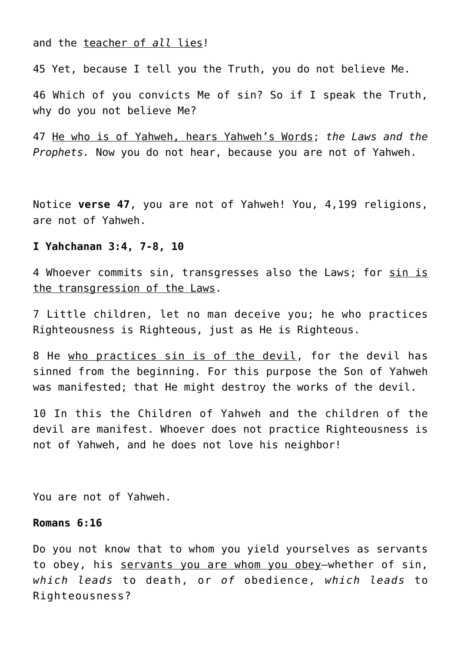and the teacher of *all* lies!

45 Yet, because I tell you the Truth, you do not believe Me.

46 Which of you convicts Me of sin? So if I speak the Truth, why do you not believe Me?

47 He who is of Yahweh, hears Yahweh's Words; *the Laws and the Prophets.* Now you do not hear, because you are not of Yahweh.

Notice **verse 47**, you are not of Yahweh! You, 4,199 religions, are not of Yahweh.

#### **I Yahchanan 3:4, 7-8, 10**

4 Whoever commits sin, transgresses also the Laws; for sin is the transgression of the Laws.

7 Little children, let no man deceive you; he who practices Righteousness is Righteous, just as He is Righteous.

8 He who practices sin is of the devil, for the devil has sinned from the beginning. For this purpose the Son of Yahweh was manifested; that He might destroy the works of the devil.

10 In this the Children of Yahweh and the children of the devil are manifest. Whoever does not practice Righteousness is not of Yahweh, and he does not love his neighbor!

You are not of Yahweh.

# **Romans 6:16**

Do you not know that to whom you yield yourselves as servants to obey, his servants you are whom you obey—whether of sin, *which leads* to death, or *of* obedience, *which leads* to Righteousness?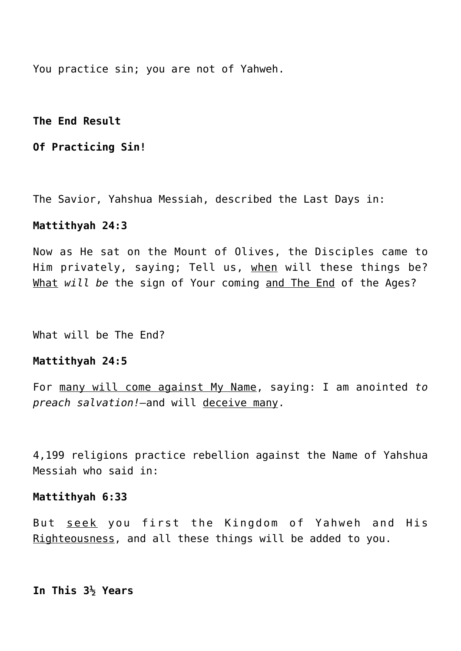You practice sin; you are not of Yahweh.

**The End Result**

**Of Practicing Sin!**

The Savior, Yahshua Messiah, described the Last Days in:

# **Mattithyah 24:3**

Now as He sat on the Mount of Olives, the Disciples came to Him privately, saying; Tell us, when will these things be? What *will be* the sign of Your coming and The End of the Ages?

What will be The End?

#### **Mattithyah 24:5**

For many will come against My Name, saying: I am anointed *to preach salvation!—*and will deceive many.

4,199 religions practice rebellion against the Name of Yahshua Messiah who said in:

#### **Mattithyah 6:33**

But seek you first the Kingdom of Yahweh and His Righteousness, and all these things will be added to you.

**In This 3½ Years**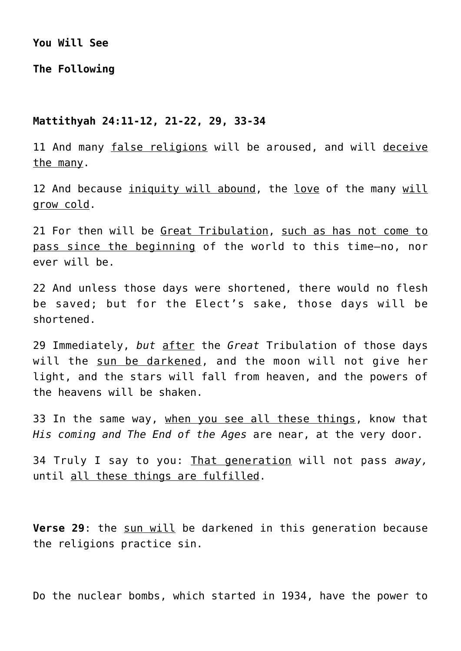**You Will See**

**The Following**

#### **Mattithyah 24:11-12, 21-22, 29, 33-34**

11 And many false religions will be aroused, and will deceive the many.

12 And because iniquity will abound, the love of the many will grow cold.

21 For then will be Great Tribulation, such as has not come to pass since the beginning of the world to this time—no, nor ever will be.

22 And unless those days were shortened, there would no flesh be saved; but for the Elect's sake, those days will be shortened.

29 Immediately, *but* after the *Great* Tribulation of those days will the sun be darkened, and the moon will not give her light, and the stars will fall from heaven, and the powers of the heavens will be shaken.

33 In the same way, when you see all these things, know that *His coming and The End of the Ages* are near, at the very door.

34 Truly I say to you: That generation will not pass *away,* until all these things are fulfilled.

**Verse 29**: the sun will be darkened in this generation because the religions practice sin.

Do the nuclear bombs, which started in 1934, have the power to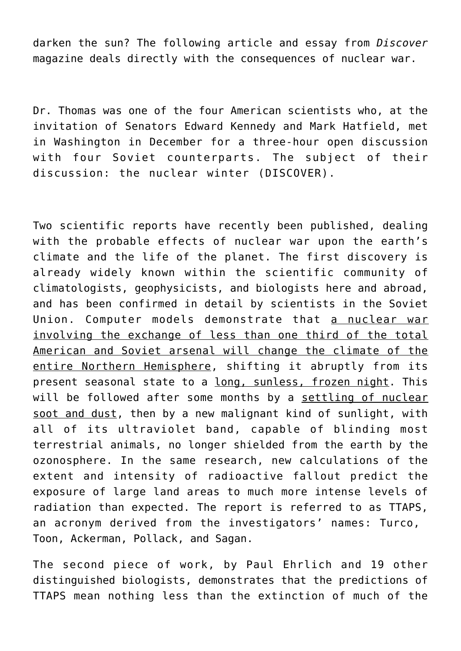darken the sun? The following article and essay from *Discover* magazine deals directly with the consequences of nuclear war.

Dr. Thomas was one of the four American scientists who, at the invitation of Senators Edward Kennedy and Mark Hatfield, met in Washington in December for a three-hour open discussion with four Soviet counterparts. The subject of their discussion: the nuclear winter (DISCOVER).

Two scientific reports have recently been published, dealing with the probable effects of nuclear war upon the earth's climate and the life of the planet. The first discovery is already widely known within the scientific community of climatologists, geophysicists, and biologists here and abroad, and has been confirmed in detail by scientists in the Soviet Union. Computer models demonstrate that a nuclear war involving the exchange of less than one third of the total American and Soviet arsenal will change the climate of the entire Northern Hemisphere, shifting it abruptly from its present seasonal state to a long, sunless, frozen night. This will be followed after some months by a settling of nuclear soot and dust, then by a new malignant kind of sunlight, with all of its ultraviolet band, capable of blinding most terrestrial animals, no longer shielded from the earth by the ozonosphere. In the same research, new calculations of the extent and intensity of radioactive fallout predict the exposure of large land areas to much more intense levels of radiation than expected. The report is referred to as TTAPS, an acronym derived from the investigators' names: Turco, Toon, Ackerman, Pollack, and Sagan.

The second piece of work, by Paul Ehrlich and 19 other distinguished biologists, demonstrates that the predictions of TTAPS mean nothing less than the extinction of much of the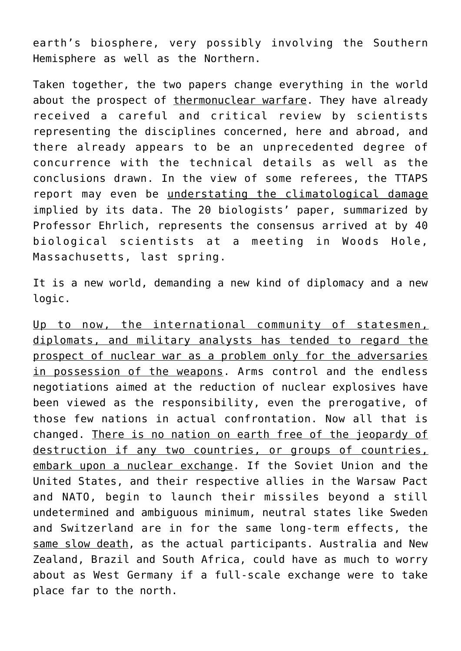earth's biosphere, very possibly involving the Southern Hemisphere as well as the Northern.

Taken together, the two papers change everything in the world about the prospect of thermonuclear warfare. They have already received a careful and critical review by scientists representing the disciplines concerned, here and abroad, and there already appears to be an unprecedented degree of concurrence with the technical details as well as the conclusions drawn. In the view of some referees, the TTAPS report may even be understating the climatological damage implied by its data. The 20 biologists' paper, summarized by Professor Ehrlich, represents the consensus arrived at by 40 biological scientists at a meeting in Woods Hole, Massachusetts, last spring.

It is a new world, demanding a new kind of diplomacy and a new logic.

Up to now, the international community of statesmen, diplomats, and military analysts has tended to regard the prospect of nuclear war as a problem only for the adversaries in possession of the weapons. Arms control and the endless negotiations aimed at the reduction of nuclear explosives have been viewed as the responsibility, even the prerogative, of those few nations in actual confrontation. Now all that is changed. There is no nation on earth free of the jeopardy of destruction if any two countries, or groups of countries, embark upon a nuclear exchange. If the Soviet Union and the United States, and their respective allies in the Warsaw Pact and NATO, begin to launch their missiles beyond a still undetermined and ambiguous minimum, neutral states like Sweden and Switzerland are in for the same long-term effects, the same slow death, as the actual participants. Australia and New Zealand, Brazil and South Africa, could have as much to worry about as West Germany if a full-scale exchange were to take place far to the north.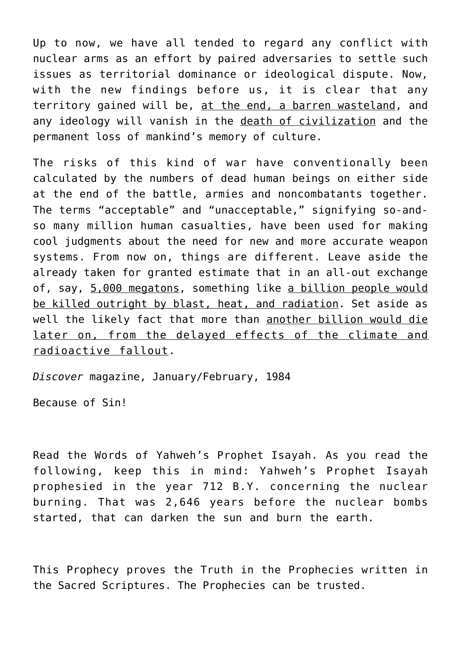Up to now, we have all tended to regard any conflict with nuclear arms as an effort by paired adversaries to settle such issues as territorial dominance or ideological dispute. Now, with the new findings before us, it is clear that any territory gained will be, at the end, a barren wasteland, and any ideology will vanish in the death of civilization and the permanent loss of mankind's memory of culture.

The risks of this kind of war have conventionally been calculated by the numbers of dead human beings on either side at the end of the battle, armies and noncombatants together. The terms "acceptable" and "unacceptable," signifying so-andso many million human casualties, have been used for making cool judgments about the need for new and more accurate weapon systems. From now on, things are different. Leave aside the already taken for granted estimate that in an all-out exchange of, say, 5,000 megatons, something like a billion people would be killed outright by blast, heat, and radiation. Set aside as well the likely fact that more than another billion would die later on, from the delayed effects of the climate and radioactive fallout.

*Discover* magazine, January/February, 1984

Because of Sin!

Read the Words of Yahweh's Prophet Isayah. As you read the following, keep this in mind: Yahweh's Prophet Isayah prophesied in the year 712 B.Y. concerning the nuclear burning. That was 2,646 years before the nuclear bombs started, that can darken the sun and burn the earth.

This Prophecy proves the Truth in the Prophecies written in the Sacred Scriptures. The Prophecies can be trusted.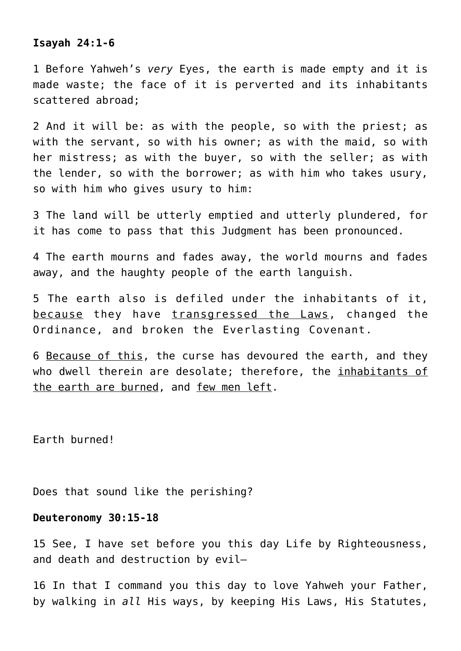# **Isayah 24:1-6**

1 Before Yahweh's *very* Eyes, the earth is made empty and it is made waste; the face of it is perverted and its inhabitants scattered abroad;

2 And it will be: as with the people, so with the priest; as with the servant, so with his owner; as with the maid, so with her mistress; as with the buyer, so with the seller; as with the lender, so with the borrower; as with him who takes usury, so with him who gives usury to him:

3 The land will be utterly emptied and utterly plundered, for it has come to pass that this Judgment has been pronounced.

4 The earth mourns and fades away, the world mourns and fades away, and the haughty people of the earth languish.

5 The earth also is defiled under the inhabitants of it, because they have transgressed the Laws, changed the Ordinance, and broken the Everlasting Covenant.

6 Because of this, the curse has devoured the earth, and they who dwell therein are desolate; therefore, the inhabitants of the earth are burned, and few men left.

Earth burned!

Does that sound like the perishing?

# **Deuteronomy 30:15-18**

15 See, I have set before you this day Life by Righteousness, and death and destruction by evil—

16 In that I command you this day to love Yahweh your Father, by walking in *all* His ways, by keeping His Laws, His Statutes,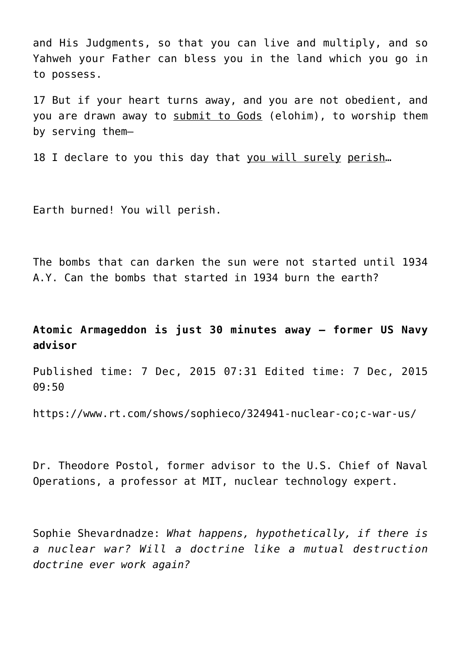and His Judgments, so that you can live and multiply, and so Yahweh your Father can bless you in the land which you go in to possess.

17 But if your heart turns away, and you are not obedient, and you are drawn away to submit to Gods (elohim), to worship them by serving them—

18 I declare to you this day that you will surely perish…

Earth burned! You will perish.

The bombs that can darken the sun were not started until 1934 A.Y. Can the bombs that started in 1934 burn the earth?

# **Atomic Armageddon is just 30 minutes away – former US Navy advisor**

Published time: 7 Dec, 2015 07:31 Edited time: 7 Dec, 2015 09:50

https://www.rt.com/shows/sophieco/324941-nuclear-co;c-war-us/

Dr. Theodore Postol, former advisor to the U.S. Chief of Naval Operations, a professor at MIT, nuclear technology expert.

Sophie Shevardnadze: *What happens, hypothetically, if there is a nuclear war? Will a doctrine like a mutual destruction doctrine ever work again?*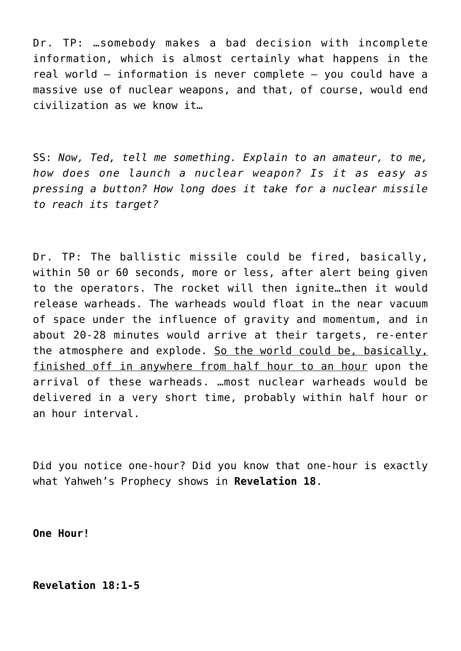Dr. TP: …somebody makes a bad decision with incomplete information, which is almost certainly what happens in the real world – information is never complete – you could have a massive use of nuclear weapons, and that, of course, would end civilization as we know it…

SS: *Now, Ted, tell me something. Explain to an amateur, to me, how does one launch a nuclear weapon? Is it as easy as pressing a button? How long does it take for a nuclear missile to reach its target?*

Dr. TP: The ballistic missile could be fired, basically, within 50 or 60 seconds, more or less, after alert being given to the operators. The rocket will then ignite…then it would release warheads. The warheads would float in the near vacuum of space under the influence of gravity and momentum, and in about 20-28 minutes would arrive at their targets, re-enter the atmosphere and explode. So the world could be, basically, finished off in anywhere from half hour to an hour upon the arrival of these warheads. …most nuclear warheads would be delivered in a very short time, probably within half hour or an hour interval.

Did you notice one-hour? Did you know that one-hour is exactly what Yahweh's Prophecy shows in **Revelation 18**.

**One Hour!**

**Revelation 18:1-5**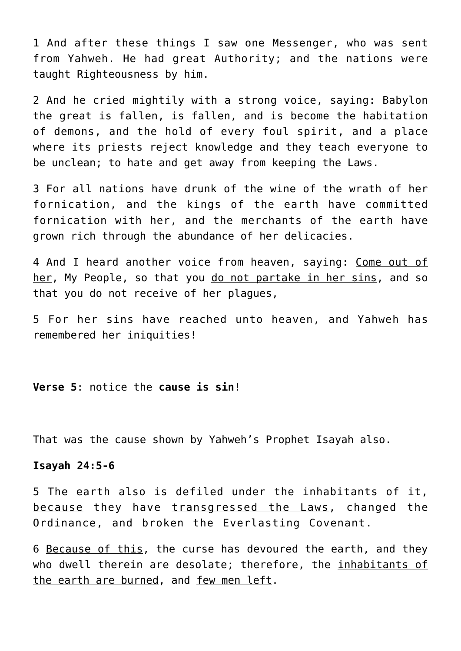1 And after these things I saw one Messenger, who was sent from Yahweh. He had great Authority; and the nations were taught Righteousness by him.

2 And he cried mightily with a strong voice, saying: Babylon the great is fallen, is fallen, and is become the habitation of demons, and the hold of every foul spirit, and a place where its priests reject knowledge and they teach everyone to be unclean; to hate and get away from keeping the Laws.

3 For all nations have drunk of the wine of the wrath of her fornication, and the kings of the earth have committed fornication with her, and the merchants of the earth have grown rich through the abundance of her delicacies.

4 And I heard another voice from heaven, saying: Come out of her, My People, so that you do not partake in her sins, and so that you do not receive of her plagues,

5 For her sins have reached unto heaven, and Yahweh has remembered her iniquities!

**Verse 5**: notice the **cause is sin**!

That was the cause shown by Yahweh's Prophet Isayah also.

#### **Isayah 24:5-6**

5 The earth also is defiled under the inhabitants of it, because they have transgressed the Laws, changed the Ordinance, and broken the Everlasting Covenant.

6 Because of this, the curse has devoured the earth, and they who dwell therein are desolate; therefore, the inhabitants of the earth are burned, and few men left.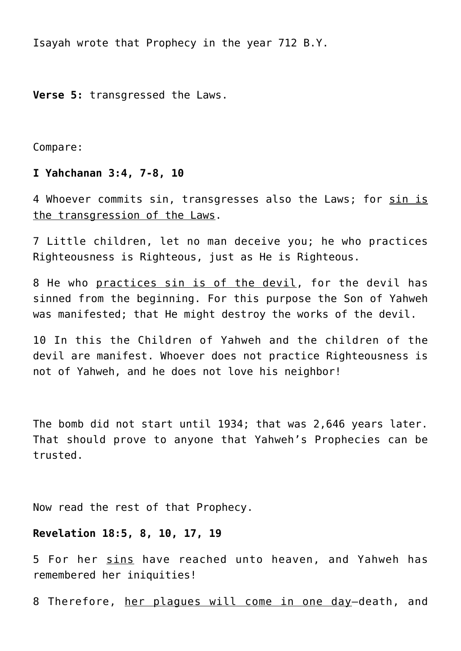Isayah wrote that Prophecy in the year 712 B.Y.

**Verse 5:** transgressed the Laws.

Compare:

#### **I Yahchanan 3:4, 7-8, 10**

4 Whoever commits sin, transgresses also the Laws; for sin is the transgression of the Laws.

7 Little children, let no man deceive you; he who practices Righteousness is Righteous, just as He is Righteous.

8 He who practices sin is of the devil, for the devil has sinned from the beginning. For this purpose the Son of Yahweh was manifested; that He might destroy the works of the devil.

10 In this the Children of Yahweh and the children of the devil are manifest. Whoever does not practice Righteousness is not of Yahweh, and he does not love his neighbor!

The bomb did not start until 1934; that was 2,646 years later. That should prove to anyone that Yahweh's Prophecies can be trusted.

Now read the rest of that Prophecy.

# **Revelation 18:5, 8, 10, 17, 19**

5 For her sins have reached unto heaven, and Yahweh has remembered her iniquities!

8 Therefore, her plagues will come in one day-death, and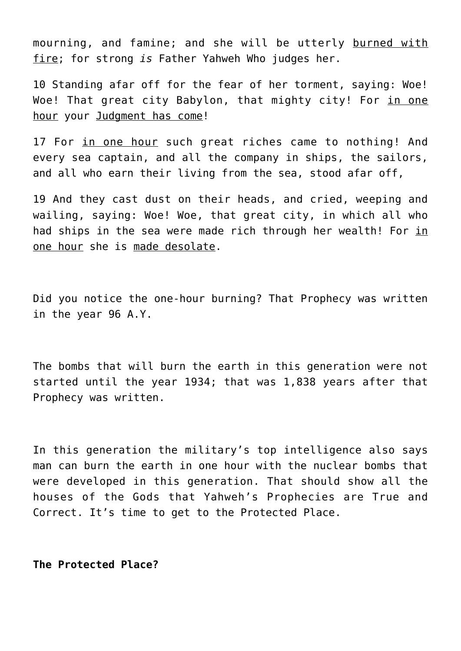mourning, and famine; and she will be utterly burned with fire; for strong *is* Father Yahweh Who judges her.

10 Standing afar off for the fear of her torment, saying: Woe! Woe! That great city Babylon, that mighty city! For in one hour your Judgment has come!

17 For in one hour such great riches came to nothing! And every sea captain, and all the company in ships, the sailors, and all who earn their living from the sea, stood afar off,

19 And they cast dust on their heads, and cried, weeping and wailing, saying: Woe! Woe, that great city, in which all who had ships in the sea were made rich through her wealth! For in one hour she is made desolate.

Did you notice the one-hour burning? That Prophecy was written in the year 96 A.Y.

The bombs that will burn the earth in this generation were not started until the year 1934; that was 1,838 years after that Prophecy was written.

In this generation the military's top intelligence also says man can burn the earth in one hour with the nuclear bombs that were developed in this generation. That should show all the houses of the Gods that Yahweh's Prophecies are True and Correct. It's time to get to the Protected Place.

**The Protected Place?**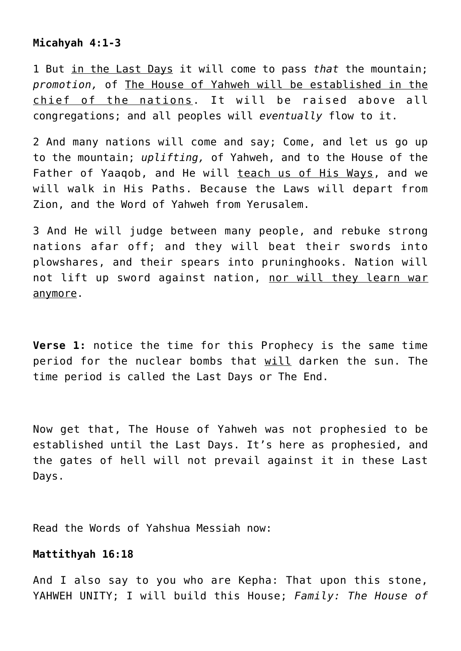# **Micahyah 4:1-3**

1 But in the Last Days it will come to pass *that* the mountain; *promotion,* of The House of Yahweh will be established in the chief of the nations. It will be raised above all congregations; and all peoples will *eventually* flow to it.

2 And many nations will come and say; Come, and let us go up to the mountain; *uplifting,* of Yahweh, and to the House of the Father of Yaaqob, and He will teach us of His Ways, and we will walk in His Paths. Because the Laws will depart from Zion, and the Word of Yahweh from Yerusalem.

3 And He will judge between many people, and rebuke strong nations afar off; and they will beat their swords into plowshares, and their spears into pruninghooks. Nation will not lift up sword against nation, nor will they learn war anymore.

**Verse 1:** notice the time for this Prophecy is the same time period for the nuclear bombs that will darken the sun. The time period is called the Last Days or The End.

Now get that, The House of Yahweh was not prophesied to be established until the Last Days. It's here as prophesied, and the gates of hell will not prevail against it in these Last Days.

Read the Words of Yahshua Messiah now:

# **Mattithyah 16:18**

And I also say to you who are Kepha: That upon this stone, YAHWEH UNITY; I will build this House; *Family: The House of*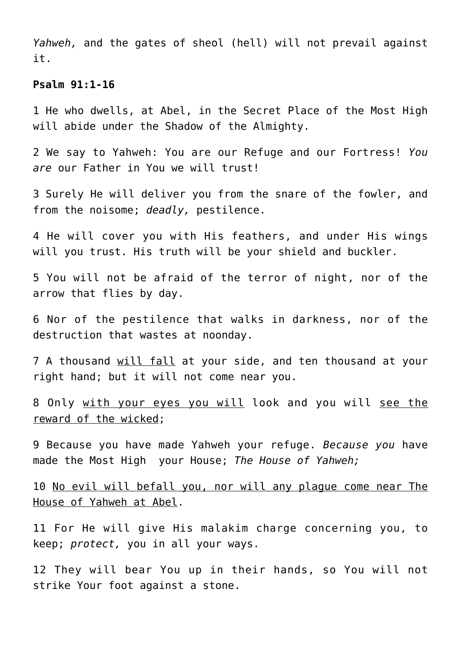*Yahweh,* and the gates of sheol (hell) will not prevail against it.

# **Psalm 91:1-16**

1 He who dwells, at Abel, in the Secret Place of the Most High will abide under the Shadow of the Almighty.

2 We say to Yahweh: You are our Refuge and our Fortress! *You are* our Father in You we will trust!

3 Surely He will deliver you from the snare of the fowler, and from the noisome; *deadly,* pestilence.

4 He will cover you with His feathers, and under His wings will you trust. His truth will be your shield and buckler.

5 You will not be afraid of the terror of night, nor of the arrow that flies by day.

6 Nor of the pestilence that walks in darkness, nor of the destruction that wastes at noonday.

7 A thousand will fall at your side, and ten thousand at your right hand; but it will not come near you.

8 Only with your eyes you will look and you will see the reward of the wicked;

9 Because you have made Yahweh your refuge. *Because you* have made the Most High your House; *The House of Yahweh;*

10 No evil will befall you, nor will any plaque come near The House of Yahweh at Abel.

11 For He will give His malakim charge concerning you, to keep; *protect,* you in all your ways.

12 They will bear You up in their hands, so You will not strike Your foot against a stone.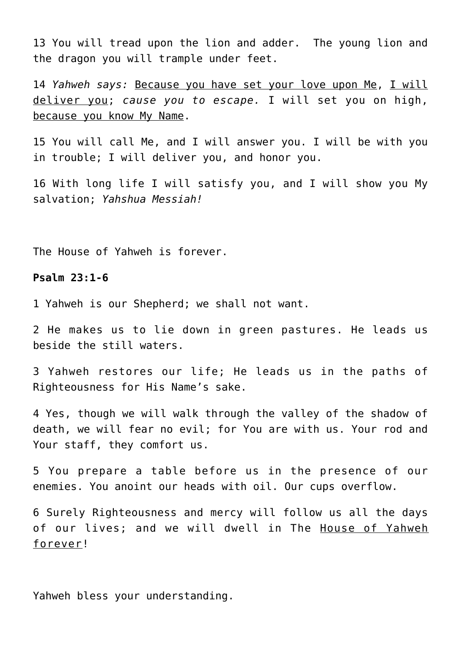13 You will tread upon the lion and adder. The young lion and the dragon you will trample under feet.

14 *Yahweh says:* Because you have set your love upon Me, I will deliver you; *cause you to escape.* I will set you on high, because you know My Name.

15 You will call Me, and I will answer you. I will be with you in trouble; I will deliver you, and honor you.

16 With long life I will satisfy you, and I will show you My salvation; *Yahshua Messiah!*

The House of Yahweh is forever.

# **Psalm 23:1-6**

1 Yahweh is our Shepherd; we shall not want.

2 He makes us to lie down in green pastures. He leads us beside the still waters.

3 Yahweh restores our life; He leads us in the paths of Righteousness for His Name's sake.

4 Yes, though we will walk through the valley of the shadow of death, we will fear no evil; for You are with us. Your rod and Your staff, they comfort us.

5 You prepare a table before us in the presence of our enemies. You anoint our heads with oil. Our cups overflow.

6 Surely Righteousness and mercy will follow us all the days of our lives; and we will dwell in The House of Yahweh forever!

Yahweh bless your understanding.